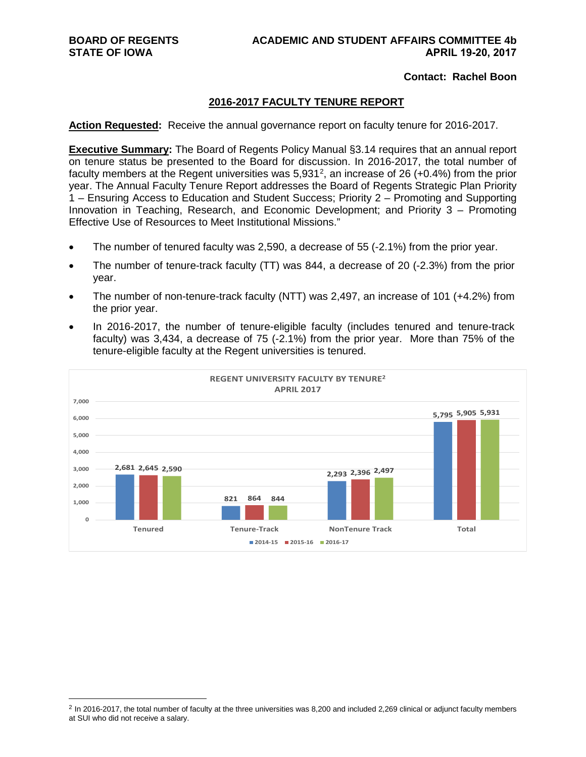#### **Contact: Rachel Boon**

### **2016-2017 FACULTY TENURE REPORT**

**Action Requested:** Receive the annual governance report on faculty tenure for 2016-2017.

**Executive Summary:** The Board of Regents Policy Manual §3.14 requires that an annual report on tenure status be presented to the Board for discussion. In 2016-2017, the total number of faculty members at the Regent universities was  $5,931^2$  $5,931^2$ , an increase of 26 (+0.4%) from the prior year. The Annual Faculty Tenure Report addresses the Board of Regents Strategic Plan Priority 1 – Ensuring Access to Education and Student Success; Priority 2 – Promoting and Supporting Innovation in Teaching, Research, and Economic Development; and Priority 3 – Promoting Effective Use of Resources to Meet Institutional Missions."

- The number of tenured faculty was 2,590, a decrease of 55 (-2.1%) from the prior year.
- The number of tenure-track faculty (TT) was 844, a decrease of 20 (-2.3%) from the prior year.
- The number of non-tenure-track faculty (NTT) was 2,497, an increase of 101 (+4.2%) from the prior year.
- In 2016-2017, the number of tenure-eligible faculty (includes tenured and tenure-track faculty) was 3,434, a decrease of 75 (-2.1%) from the prior year. More than 75% of the tenure-eligible faculty at the Regent universities is tenured.



<span id="page-0-0"></span><sup>&</sup>lt;sup>2</sup> In 2016-2017, the total number of faculty at the three universities was 8,200 and included 2,269 clinical or adjunct faculty members at SUI who did not receive a salary.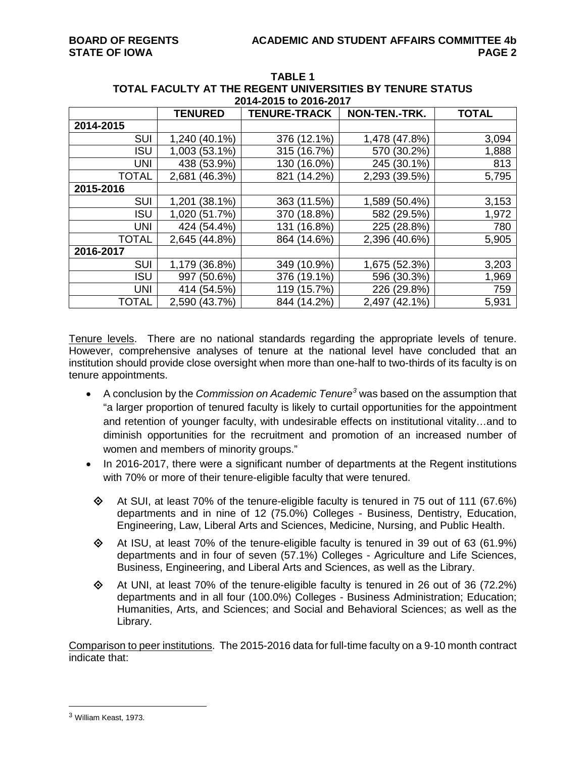|              | <b>TENURED</b>      | <b>TENURE-TRACK</b> | NON-TEN.-TRK. | <b>TOTAL</b> |
|--------------|---------------------|---------------------|---------------|--------------|
| 2014-2015    |                     |                     |               |              |
| <b>SUI</b>   | 1,240 (40.1%)       | 376 (12.1%)         | 1,478 (47.8%) | 3,094        |
| <b>ISU</b>   | 1,003 (53.1%)       | 315 (16.7%)         | 570 (30.2%)   | 1,888        |
| <b>UNI</b>   | 438 (53.9%)         | $(16.0\%)$<br>130   | 245 (30.1%)   | 813          |
| <b>TOTAL</b> | 2,681 (46.3%)       | 821 (14.2%)         | 2,293 (39.5%) | 5,795        |
| 2015-2016    |                     |                     |               |              |
| <b>SUI</b>   | $(38.1\%)$<br>1,201 | 363 (11.5%)         | 1,589 (50.4%) | 3,153        |
| <b>ISU</b>   | 1,020 (51.7%)       | 370 (18.8%)         | 582 (29.5%)   | 1,972        |
| <b>UNI</b>   | 424 (54.4%)         | (16.8%)<br>131      | 225 (28.8%)   | 780          |
| <b>TOTAL</b> | 2,645 (44.8%)       | 864 (14.6%)         | 2,396 (40.6%) | 5,905        |
| 2016-2017    |                     |                     |               |              |
| <b>SUI</b>   | 1,179 (36.8%)       | 349 (10.9%)         | 1,675 (52.3%) | 3,203        |
| <b>ISU</b>   | 997<br>(50.6%)      | 376 (19.1%)         | 596 (30.3%)   | 1,969        |
| <b>UNI</b>   | 414 (54.5%)         | 119 (15.7%)         | 226 (29.8%)   | 759          |
| <b>TOTAL</b> | 2,590 (43.7%)       | 844 (14.2%)         | 2,497 (42.1%) | 5,931        |

**TABLE 1 TOTAL FACULTY AT THE REGENT UNIVERSITIES BY TENURE STATUS 2014-2015 to 2016-2017**

Tenure levels. There are no national standards regarding the appropriate levels of tenure. However, comprehensive analyses of tenure at the national level have concluded that an institution should provide close oversight when more than one-half to two-thirds of its faculty is on tenure appointments.

- A conclusion by the *Commission on Academic Tenure[3](#page-1-0)* was based on the assumption that "a larger proportion of tenured faculty is likely to curtail opportunities for the appointment and retention of younger faculty, with undesirable effects on institutional vitality…and to diminish opportunities for the recruitment and promotion of an increased number of women and members of minority groups."
- In 2016-2017, there were a significant number of departments at the Regent institutions with 70% or more of their tenure-eligible faculty that were tenured.
	- $\otimes$  At SUI, at least 70% of the tenure-eligible faculty is tenured in 75 out of 111 (67.6%) departments and in nine of 12 (75.0%) Colleges - Business, Dentistry, Education, Engineering, Law, Liberal Arts and Sciences, Medicine, Nursing, and Public Health.
	- $\Diamond$  At ISU, at least 70% of the tenure-eligible faculty is tenured in 39 out of 63 (61.9%) departments and in four of seven (57.1%) Colleges - Agriculture and Life Sciences, Business, Engineering, and Liberal Arts and Sciences, as well as the Library.
	- $\Diamond$  At UNI, at least 70% of the tenure-eligible faculty is tenured in 26 out of 36 (72.2%) departments and in all four (100.0%) Colleges - Business Administration; Education; Humanities, Arts, and Sciences; and Social and Behavioral Sciences; as well as the Library.

Comparison to peer institutions. The 2015-2016 data for full-time faculty on a 9-10 month contract indicate that:

<span id="page-1-0"></span> <sup>3</sup> William Keast, 1973.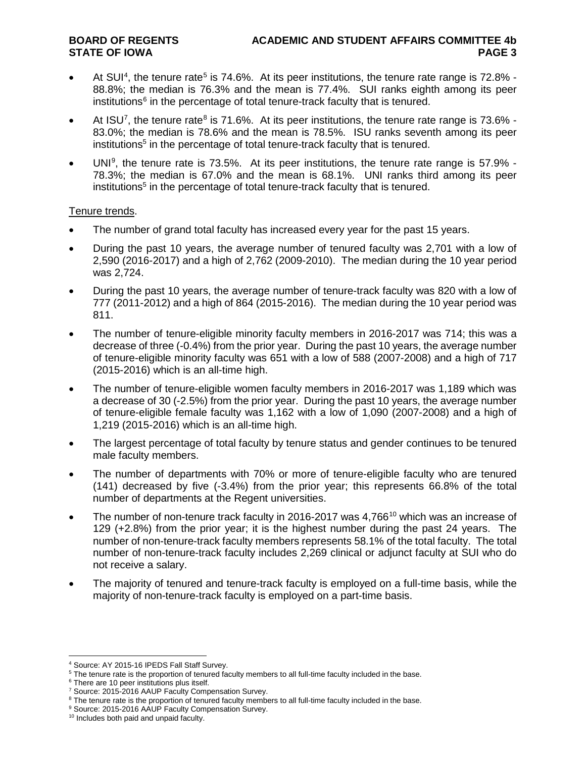- At SUI<sup>[4](#page-2-0)</sup>, the tenure rate<sup>[5](#page-2-1)</sup> is 74.6%. At its peer institutions, the tenure rate range is 72.8% -88.8%; the median is 76.3% and the mean is 77.4%. SUI ranks eighth among its peer institutions $6$  in the percentage of total tenure-track faculty that is tenured.
- At ISU<sup>[7](#page-2-3)</sup>, the tenure rate<sup>[8](#page-2-4)</sup> is 71.6%. At its peer institutions, the tenure rate range is 73.6% -83.0%; the median is 78.6% and the mean is 78.5%. ISU ranks seventh among its peer institutions<sup>5</sup> in the percentage of total tenure-track faculty that is tenured.
- UNI<sup>[9](#page-2-5)</sup>, the tenure rate is 73.5%. At its peer institutions, the tenure rate range is 57.9% -78.3%; the median is 67.0% and the mean is 68.1%. UNI ranks third among its peer institutions<sup>5</sup> in the percentage of total tenure-track faculty that is tenured.

### Tenure trends.

- The number of grand total faculty has increased every year for the past 15 years.
- During the past 10 years, the average number of tenured faculty was 2,701 with a low of 2,590 (2016-2017) and a high of 2,762 (2009-2010). The median during the 10 year period was 2,724.
- During the past 10 years, the average number of tenure-track faculty was 820 with a low of 777 (2011-2012) and a high of 864 (2015-2016). The median during the 10 year period was 811.
- The number of tenure-eligible minority faculty members in 2016-2017 was 714; this was a decrease of three (-0.4%) from the prior year. During the past 10 years, the average number of tenure-eligible minority faculty was 651 with a low of 588 (2007-2008) and a high of 717 (2015-2016) which is an all-time high.
- The number of tenure-eligible women faculty members in 2016-2017 was 1,189 which was a decrease of 30 (-2.5%) from the prior year. During the past 10 years, the average number of tenure-eligible female faculty was 1,162 with a low of 1,090 (2007-2008) and a high of 1,219 (2015-2016) which is an all-time high.
- The largest percentage of total faculty by tenure status and gender continues to be tenured male faculty members.
- The number of departments with 70% or more of tenure-eligible faculty who are tenured (141) decreased by five (-3.4%) from the prior year; this represents 66.8% of the total number of departments at the Regent universities.
- The number of non-tenure track faculty in 2016-2017 was 4.766<sup>[10](#page-2-6)</sup> which was an increase of 129 (+2.8%) from the prior year; it is the highest number during the past 24 years. The number of non-tenure-track faculty members represents 58.1% of the total faculty. The total number of non-tenure-track faculty includes 2,269 clinical or adjunct faculty at SUI who do not receive a salary.
- The majority of tenured and tenure-track faculty is employed on a full-time basis, while the majority of non-tenure-track faculty is employed on a part-time basis.

 <sup>4</sup> Source: AY 2015-16 IPEDS Fall Staff Survey.

<span id="page-2-1"></span><span id="page-2-0"></span><sup>&</sup>lt;sup>5</sup> The tenure rate is the proportion of tenured faculty members to all full-time faculty included in the base.

<span id="page-2-2"></span> $6$  There are 10 peer institutions plus itself.

<span id="page-2-4"></span><span id="page-2-3"></span><sup>7</sup> Source: 2015-2016 AAUP Faculty Compensation Survey.

<sup>&</sup>lt;sup>8</sup> The tenure rate is the proportion of tenured faculty members to all full-time faculty included in the base.

<span id="page-2-6"></span><span id="page-2-5"></span><sup>9</sup> Source: 2015-2016 AAUP Faculty Compensation Survey.

<sup>&</sup>lt;sup>10</sup> Includes both paid and unpaid faculty.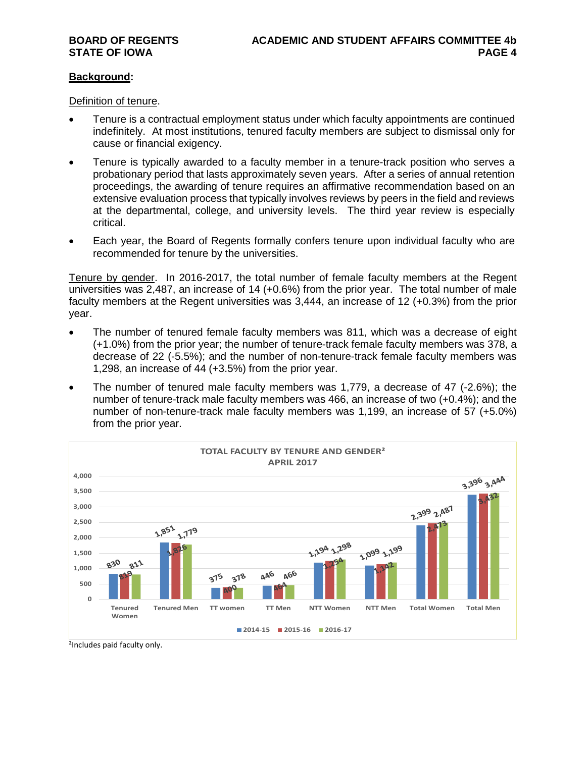#### **Background:**

Definition of tenure.

- Tenure is a contractual employment status under which faculty appointments are continued indefinitely. At most institutions, tenured faculty members are subject to dismissal only for cause or financial exigency.
- Tenure is typically awarded to a faculty member in a tenure-track position who serves a probationary period that lasts approximately seven years. After a series of annual retention proceedings, the awarding of tenure requires an affirmative recommendation based on an extensive evaluation process that typically involves reviews by peers in the field and reviews at the departmental, college, and university levels. The third year review is especially critical.
- Each year, the Board of Regents formally confers tenure upon individual faculty who are recommended for tenure by the universities.

Tenure by gender. In 2016-2017, the total number of female faculty members at the Regent universities was 2,487, an increase of 14 (+0.6%) from the prior year. The total number of male faculty members at the Regent universities was 3,444, an increase of 12 (+0.3%) from the prior year.

- The number of tenured female faculty members was 811, which was a decrease of eight (+1.0%) from the prior year; the number of tenure-track female faculty members was 378, a decrease of 22 (-5.5%); and the number of non-tenure-track female faculty members was 1,298, an increase of 44 (+3.5%) from the prior year.
- The number of tenured male faculty members was 1,779, a decrease of 47 (-2.6%); the number of tenure-track male faculty members was 466, an increase of two (+0.4%); and the number of non-tenure-track male faculty members was 1,199, an increase of 57 (+5.0%) from the prior year.



²Includes paid faculty only.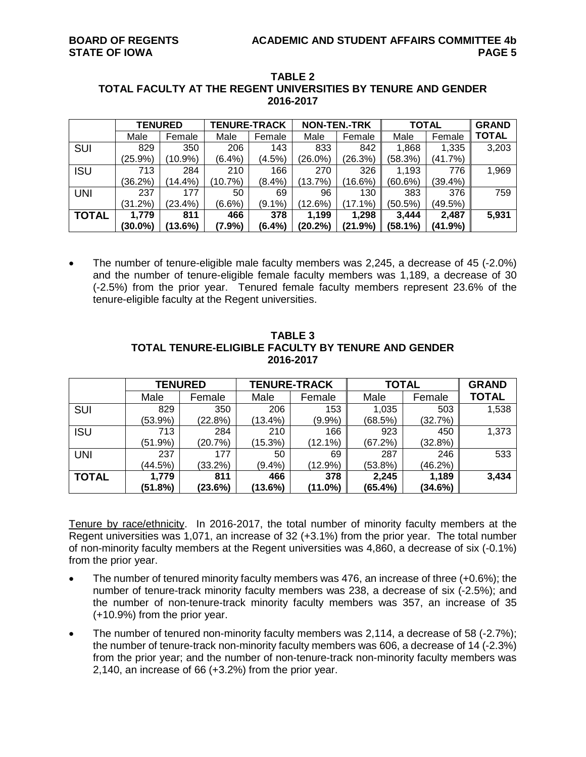|              | <b>TENURED</b> |            | <b>TENURE-TRACK</b> |           | <b>NON-TEN.-TRK</b> |            | <b>TOTAL</b> |          | <b>GRAND</b> |
|--------------|----------------|------------|---------------------|-----------|---------------------|------------|--------------|----------|--------------|
|              | Male           | Female     | Male                | Female    | Male                | Female     | Male         | Female   | <b>TOTAL</b> |
| SUI          | 829            | 350        | 206                 | 143       | 833                 | 842        | 1,868        | 1,335    | 3,203        |
|              | (25.9%)        | $(10.9\%)$ | (6.4%)              | (4.5%)    | $(26.0\%)$          | (26.3%)    | (58.3%)      | (41.7%)  |              |
| <b>ISU</b>   | 713            | 284        | 210                 | 166       | 270                 | 326        | 1,193        | 776      | 1,969        |
|              | (36.2%)        | (14.4%)    | (10.7%)             | $(8.4\%)$ | (13.7%)             | $(16.6\%)$ | $(60.6\%)$   | (39.4% ) |              |
| <b>UNI</b>   | 237            | 177        | 50                  | 69        | 96                  | 130        | 383          | 376      | 759          |
|              | (31.2%)        | (23.4%)    | $(6.6\%)$           | $(9.1\%)$ | (12.6%)             | $(17.1\%)$ | (50.5%)      | (49.5%)  |              |
| <b>TOTAL</b> | 1.779          | 811        | 466                 | 378       | 1,199               | 1.298      | 3.444        | 2,487    | 5,931        |
|              | $(30.0\%)$     | $(13.6\%)$ | (7.9%)              | $(6.4\%)$ | (20.2%)             | (21.9%)    | (58.1%)      | (41.9%)  |              |

#### **TABLE 2 TOTAL FACULTY AT THE REGENT UNIVERSITIES BY TENURE AND GENDER 2016-2017**

• The number of tenure-eligible male faculty members was 2,245, a decrease of 45 (-2.0%) and the number of tenure-eligible female faculty members was 1,189, a decrease of 30 (-2.5%) from the prior year. Tenured female faculty members represent 23.6% of the tenure-eligible faculty at the Regent universities.

|              | <b>TENURED</b> |         | <b>TENURE-TRACK</b> |            | <b>TOTAL</b> | <b>GRAND</b> |              |
|--------------|----------------|---------|---------------------|------------|--------------|--------------|--------------|
|              | Male           | Female  | Male                | Female     | Male         | Female       | <b>TOTAL</b> |
| SUI          | 829            | 350     | 206                 | 153        | 1,035        | 503          | 1,538        |
|              | (53.9%)        | (22.8%) | (13.4%)             | (9.9%      | (68.5%)      | (32.7%)      |              |
| <b>ISU</b>   | 713            | 284     | 210                 | 166        | 923          | 450          | 1,373        |
|              | (51.9%)        | (20.7%) | (15.3%)             | $(12.1\%)$ | (67.2%)      | (32.8%)      |              |
| <b>UNI</b>   | 237            | 177     | 50                  | 69         | 287          | 246          | 533          |
|              | (44.5%)        | (33.2%) | $(9.4\%)$           | $(12.9\%)$ | (53.8%)      | (46.2%)      |              |
| <b>TOTAL</b> | 1,779          | 811     | 466                 | 378        | 2,245        | 1,189        | 3,434        |
|              | (51.8%)        | (23.6%) | (13.6%)             | (11.0%)    | (65.4%)      | (34.6%)      |              |

**TABLE 3 TOTAL TENURE-ELIGIBLE FACULTY BY TENURE AND GENDER 2016-2017**

Tenure by race/ethnicity. In 2016-2017, the total number of minority faculty members at the Regent universities was 1,071, an increase of 32 (+3.1%) from the prior year. The total number of non-minority faculty members at the Regent universities was 4,860, a decrease of six (-0.1%) from the prior year.

- The number of tenured minority faculty members was 476, an increase of three (+0.6%); the number of tenure-track minority faculty members was 238, a decrease of six (-2.5%); and the number of non-tenure-track minority faculty members was 357, an increase of 35 (+10.9%) from the prior year.
- The number of tenured non-minority faculty members was 2,114, a decrease of 58 (-2.7%); the number of tenure-track non-minority faculty members was 606, a decrease of 14 (-2.3%) from the prior year; and the number of non-tenure-track non-minority faculty members was 2,140, an increase of 66 (+3.2%) from the prior year.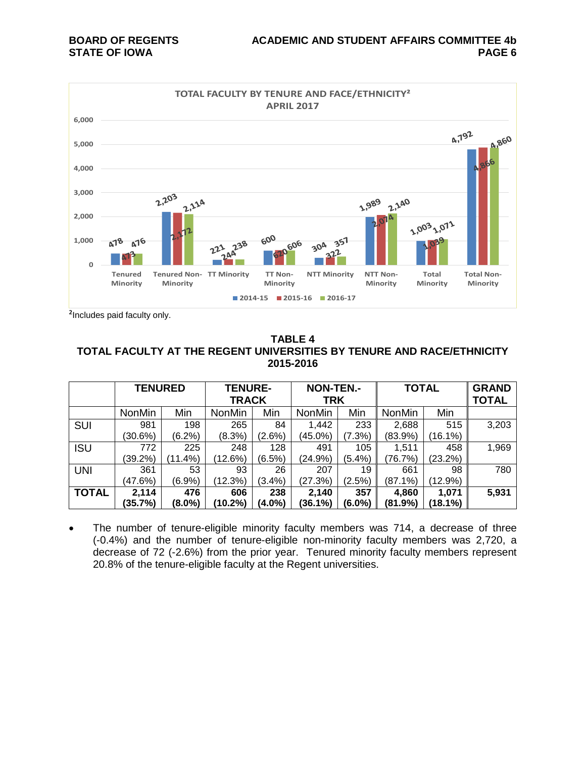

²Includes paid faculty only.

#### **TABLE 4 TOTAL FACULTY AT THE REGENT UNIVERSITIES BY TENURE AND RACE/ETHNICITY 2015-2016**

|              | <b>TENURED</b> |            | <b>TENURE-</b><br><b>TRACK</b> |           | <b>NON-TEN.-</b><br><b>TRK</b> |           | <b>TOTAL</b>  |            | <b>GRAND</b><br><b>TOTAL</b> |
|--------------|----------------|------------|--------------------------------|-----------|--------------------------------|-----------|---------------|------------|------------------------------|
|              | <b>NonMin</b>  | Min        | <b>NonMin</b>                  | Min       | <b>NonMin</b>                  | Min       | <b>NonMin</b> | Min        |                              |
| <b>SUI</b>   | 981            | 198        | 265                            | 84        | 1,442                          | 233       | 2,688         | 515        | 3,203                        |
|              | (30.6%)        | (6.2%)     | $(8.3\%)$                      | $(2.6\%)$ | (45.0%)                        | (7.3%)    | (83.9%)       | $16.1\%$   |                              |
| <b>ISU</b>   | 772            | 225        | 248                            | 128       | 491                            | 105       | 1,511         | 458        | 1,969                        |
|              | $(39.2\%)$     | $(11.4\%)$ | (12.6%)                        | $(6.5\%)$ | (24.9%)                        | (5.4%)    | (76.7%)       | $(23.2\%)$ |                              |
| <b>UNI</b>   | 361            | 53         | 93                             | 26        | 207                            | 19        | 661           | 98         | 780                          |
|              | (47.6%)        | (6.9%)     | (12.3%)                        | (3.4%)    | (27.3%)                        | (2.5%)    | $(87.1\%)$    | $(12.9\%)$ |                              |
| <b>TOTAL</b> | 2,114          | 476        | 606                            | 238       | 2,140                          | 357       | 4,860         | 1,071      | 5,931                        |
|              | (35.7%)        | (8.0%)     | $(10.2\%)$                     | (4.0%)    | (36.1%)                        | $(6.0\%)$ | (81.9%)       | (18.1%)    |                              |

• The number of tenure-eligible minority faculty members was 714, a decrease of three (-0.4%) and the number of tenure-eligible non-minority faculty members was 2,720, a decrease of 72 (-2.6%) from the prior year. Tenured minority faculty members represent 20.8% of the tenure-eligible faculty at the Regent universities.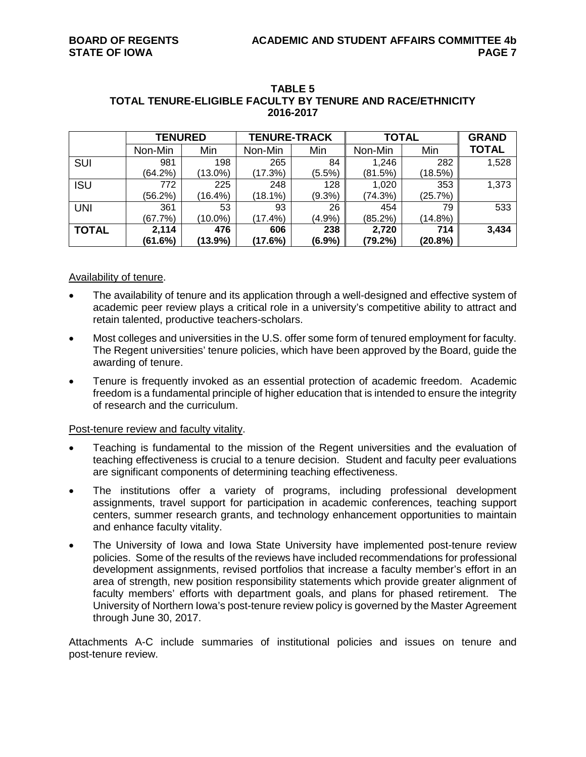|              | <b>TENURED</b> |            | <b>TENURE-TRACK</b> |           | <b>TOTAL</b> | <b>GRAND</b> |              |
|--------------|----------------|------------|---------------------|-----------|--------------|--------------|--------------|
|              | Non-Min        | Min        | Non-Min             | Min       | Non-Min      | Min          | <b>TOTAL</b> |
| SUI          | 981            | 198        | 265                 | 84        | 1,246        | 282          | 1,528        |
|              | (64.2%)        | $(13.0\%)$ | (17.3%)             | $(5.5\%)$ | (81.5%)      | (18.5%)      |              |
| <b>ISU</b>   | 772            | 225        | 248                 | 128       | 1,020        | 353          | 1,373        |
|              | (56.2%)        | (16.4%)    | $(18.1\%)$          | $(9.3\%)$ | (74.3%)      | (25.7%)      |              |
| <b>UNI</b>   | 361            | 53         | 93                  | 26        | 454          | 79           | 533          |
|              | (67.7%)        | $(10.0\%)$ | $(17.4\%)$          | $(4.9\%)$ | (85.2%)      | (14.8%)      |              |
| <b>TOTAL</b> | 2,114          | 476        | 606                 | 238       | 2,720        | 714          | 3,434        |
|              | (61.6%)        | (13.9%)    | (17.6%)             | $(6.9\%)$ | (79.2%)      | (20.8%)      |              |

#### **TABLE 5 TOTAL TENURE-ELIGIBLE FACULTY BY TENURE AND RACE/ETHNICITY 2016-2017**

### Availability of tenure.

- The availability of tenure and its application through a well-designed and effective system of academic peer review plays a critical role in a university's competitive ability to attract and retain talented, productive teachers-scholars.
- Most colleges and universities in the U.S. offer some form of tenured employment for faculty. The Regent universities' tenure policies, which have been approved by the Board, guide the awarding of tenure.
- Tenure is frequently invoked as an essential protection of academic freedom. Academic freedom is a fundamental principle of higher education that is intended to ensure the integrity of research and the curriculum.

#### Post-tenure review and faculty vitality.

- Teaching is fundamental to the mission of the Regent universities and the evaluation of teaching effectiveness is crucial to a tenure decision. Student and faculty peer evaluations are significant components of determining teaching effectiveness.
- The institutions offer a variety of programs, including professional development assignments, travel support for participation in academic conferences, teaching support centers, summer research grants, and technology enhancement opportunities to maintain and enhance faculty vitality.
- The University of Iowa and Iowa State University have implemented post-tenure review policies. Some of the results of the reviews have included recommendations for professional development assignments, revised portfolios that increase a faculty member's effort in an area of strength, new position responsibility statements which provide greater alignment of faculty members' efforts with department goals, and plans for phased retirement. The University of Northern Iowa's post-tenure review policy is governed by the Master Agreement through June 30, 2017.

Attachments A-C include summaries of institutional policies and issues on tenure and post-tenure review.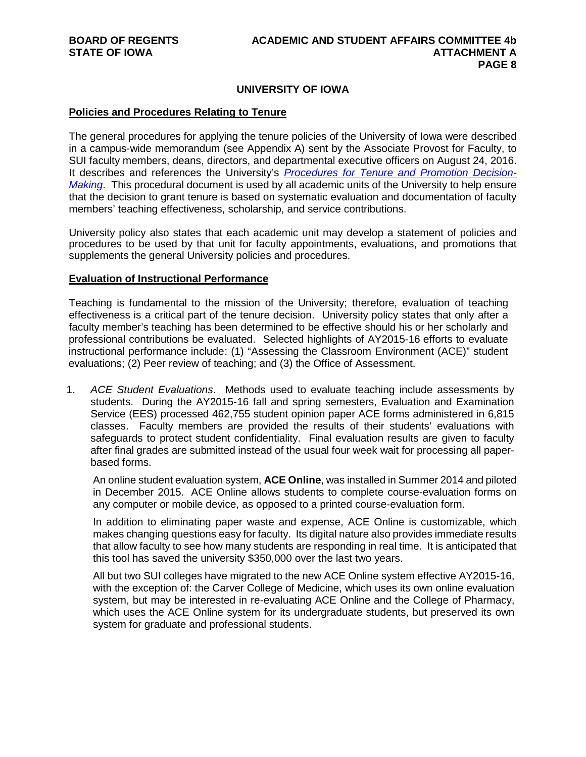# **UNIVERSITY OF IOWA**

#### **Policies and Procedures Relating to Tenure**

The general procedures for applying the tenure policies of the University of Iowa were described in a campus-wide memorandum (see Appendix A) sent by the Associate Provost for Faculty, to SUI faculty members, deans, directors, and departmental executive officers on August 24, 2016. It describes and references the University's *[Procedures for Tenure and Promotion Decision-](http://provost.uiowa.edu/files/provost.uiowa.edu/files/prom_ten_proc_TT.pdf)[Making](http://provost.uiowa.edu/files/provost.uiowa.edu/files/prom_ten_proc_TT.pdf)*. This procedural document is used by all academic units of the University to help ensure that the decision to grant tenure is based on systematic evaluation and documentation of faculty members' teaching effectiveness, scholarship, and service contributions.

University policy also states that each academic unit may develop a statement of policies and procedures to be used by that unit for faculty appointments, evaluations, and promotions that supplements the general University policies and procedures.

#### **Evaluation of Instructional Performance**

Teaching is fundamental to the mission of the University; therefore, evaluation of teaching effectiveness is a critical part of the tenure decision. University policy states that only after a faculty member's teaching has been determined to be effective should his or her scholarly and professional contributions be evaluated. Selected highlights of AY2015-16 efforts to evaluate instructional performance include: (1) "Assessing the Classroom Environment (ACE)" student evaluations; (2) Peer review of teaching; and (3) the Office of Assessment.

1. *ACE Student Evaluations*. Methods used to evaluate teaching include assessments by students. During the AY2015-16 fall and spring semesters, Evaluation and Examination Service (EES) processed 462,755 student opinion paper ACE forms administered in 6,815 classes. Faculty members are provided the results of their students' evaluations with safeguards to protect student confidentiality. Final evaluation results are given to faculty after final grades are submitted instead of the usual four week wait for processing all paperbased forms.

An online student evaluation system, **ACE Online**, was installed in Summer 2014 and piloted in December 2015. ACE Online allows students to complete course-evaluation forms on any computer or mobile device, as opposed to a printed course-evaluation form.

In addition to eliminating paper waste and expense, ACE Online is customizable, which makes changing questions easy for faculty. Its digital nature also provides immediate results that allow faculty to see how many students are responding in real time. It is anticipated that this tool has saved the university \$350,000 over the last two years.

All but two SUI colleges have migrated to the new ACE Online system effective AY2015-16, with the exception of: the Carver College of Medicine, which uses its own online evaluation system, but may be interested in re-evaluating ACE Online and the College of Pharmacy, which uses the ACE Online system for its undergraduate students, but preserved its own system for graduate and professional students.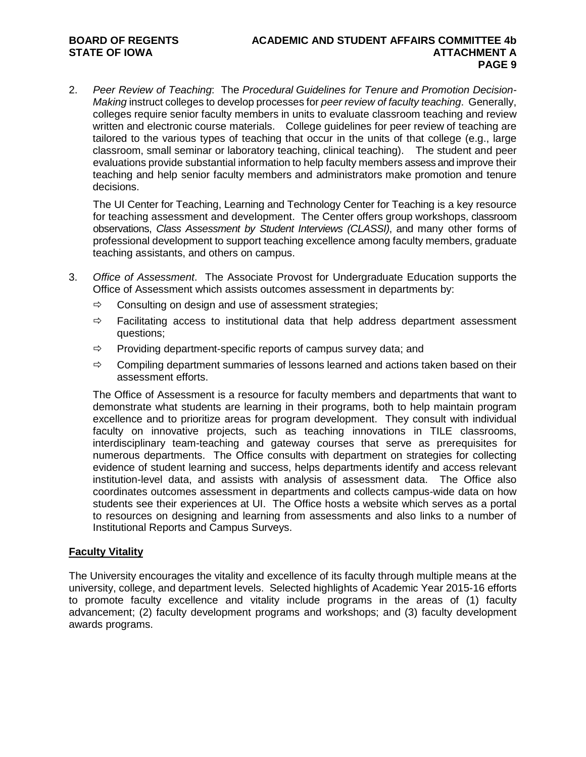# **BOARD OF REGENTS ACADEMIC AND STUDENT AFFAIRS COMMITTEE 4b PAGE 9**

2. *Peer Review of Teaching*: The *Procedural Guidelines for Tenure and Promotion Decision-Making* instruct colleges to develop processes for *peer review of faculty teaching*. Generally, colleges require senior faculty members in units to evaluate classroom teaching and review written and electronic course materials. College guidelines for peer review of teaching are tailored to the various types of teaching that occur in the units of that college (e.g., large classroom, small seminar or laboratory teaching, clinical teaching). The student and peer evaluations provide substantial information to help faculty members assess and improve their teaching and help senior faculty members and administrators make promotion and tenure decisions.

The UI Center for Teaching, Learning and Technology Center for Teaching is a key resource for teaching assessment and development. The Center offers group workshops, classroom observations, *Class Assessment by Student Interviews (CLASSI)*, and many other forms of professional development to support teaching excellence among faculty members, graduate teaching assistants, and others on campus.

- 3. *Office of Assessment*. The Associate Provost for Undergraduate Education supports the Office of Assessment which assists outcomes assessment in departments by:
	- $\Rightarrow$  Consulting on design and use of assessment strategies;
	- $\Rightarrow$  Facilitating access to institutional data that help address department assessment questions;
	- $\Rightarrow$  Providing department-specific reports of campus survey data; and
	- $\Rightarrow$  Compiling department summaries of lessons learned and actions taken based on their assessment efforts.

The Office of Assessment is a resource for faculty members and departments that want to demonstrate what students are learning in their programs, both to help maintain program excellence and to prioritize areas for program development. They consult with individual faculty on innovative projects, such as teaching innovations in TILE classrooms, interdisciplinary team-teaching and gateway courses that serve as prerequisites for numerous departments. The Office consults with department on strategies for collecting evidence of student learning and success, helps departments identify and access relevant institution-level data, and assists with analysis of assessment data. The Office also coordinates outcomes assessment in departments and collects campus-wide data on how students see their experiences at UI. The Office hosts a website which serves as a portal to resources on designing and learning from assessments and also links to a number of Institutional Reports and Campus Surveys.

# **Faculty Vitality**

The University encourages the vitality and excellence of its faculty through multiple means at the university, college, and department levels. Selected highlights of Academic Year 2015-16 efforts to promote faculty excellence and vitality include programs in the areas of (1) faculty advancement; (2) faculty development programs and workshops; and (3) faculty development awards programs.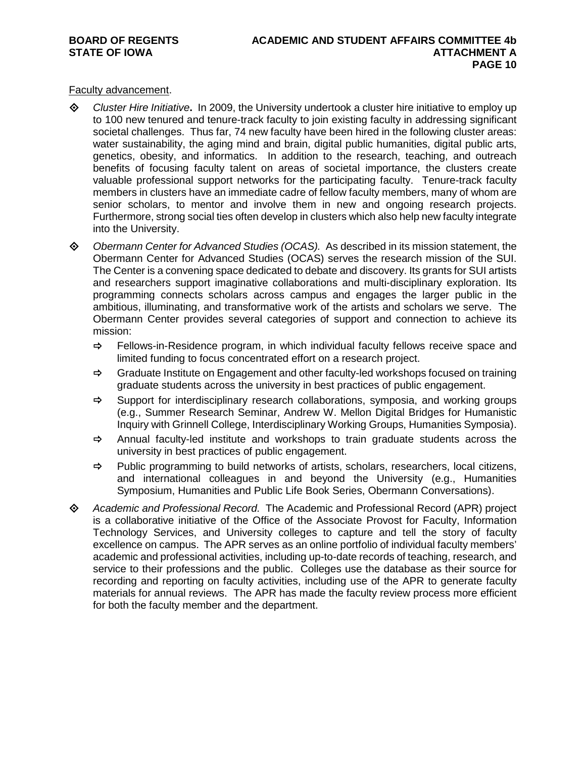Faculty advancement.

- *Cluster Hire Initiative***.** In 2009, the University undertook a cluster hire initiative to employ up to 100 new tenured and tenure-track faculty to join existing faculty in addressing significant societal challenges. Thus far, 74 new faculty have been hired in the following cluster areas: water sustainability, the aging mind and brain, digital public humanities, digital public arts, genetics, obesity, and informatics. In addition to the research, teaching, and outreach benefits of focusing faculty talent on areas of societal importance, the clusters create valuable professional support networks for the participating faculty. Tenure-track faculty members in clusters have an immediate cadre of fellow faculty members, many of whom are senior scholars, to mentor and involve them in new and ongoing research projects. Furthermore, strong social ties often develop in clusters which also help new faculty integrate into the University.
- *Obermann Center for Advanced Studies (OCAS).* As described in its mission statement, the Obermann Center for Advanced Studies (OCAS) serves the research mission of the SUI. The Center is a convening space dedicated to debate and discovery. Its grants for SUI artists and researchers support imaginative collaborations and multi-disciplinary exploration. Its programming connects scholars across campus and engages the larger public in the ambitious, illuminating, and transformative work of the artists and scholars we serve. The Obermann Center provides several categories of support and connection to achieve its mission:
	- $\Rightarrow$  Fellows-in-Residence program, in which individual faculty fellows receive space and limited funding to focus concentrated effort on a research project.
	- $\Rightarrow$  Graduate Institute on Engagement and other faculty-led workshops focused on training graduate students across the university in best practices of public engagement.
	- $\Rightarrow$  Support for interdisciplinary research collaborations, symposia, and working groups (e.g., Summer Research Seminar, Andrew W. Mellon Digital Bridges for Humanistic Inquiry with Grinnell College, Interdisciplinary Working Groups, Humanities Symposia).
	- $\Rightarrow$  Annual faculty-led institute and workshops to train graduate students across the university in best practices of public engagement.
	- $\Rightarrow$  Public programming to build networks of artists, scholars, researchers, local citizens, and international colleagues in and beyond the University (e.g., Humanities Symposium, Humanities and Public Life Book Series, Obermann Conversations).
- *Academic and Professional Record.* The Academic and Professional Record (APR) project is a collaborative initiative of the Office of the Associate Provost for Faculty, Information Technology Services, and University colleges to capture and tell the story of faculty excellence on campus. The APR serves as an online portfolio of individual faculty members' academic and professional activities, including up-to-date records of teaching, research, and service to their professions and the public. Colleges use the database as their source for recording and reporting on faculty activities, including use of the APR to generate faculty materials for annual reviews. The APR has made the faculty review process more efficient for both the faculty member and the department.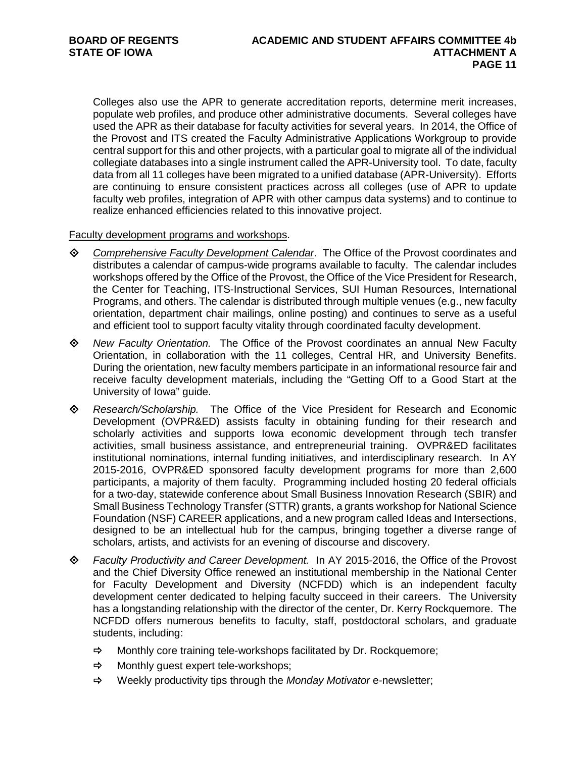Colleges also use the APR to generate accreditation reports, determine merit increases, populate web profiles, and produce other administrative documents. Several colleges have used the APR as their database for faculty activities for several years. In 2014, the Office of the Provost and ITS created the Faculty Administrative Applications Workgroup to provide central support for this and other projects, with a particular goal to migrate all of the individual collegiate databases into a single instrument called the APR-University tool. To date, faculty data from all 11 colleges have been migrated to a unified database (APR-University). Efforts are continuing to ensure consistent practices across all colleges (use of APR to update faculty web profiles, integration of APR with other campus data systems) and to continue to realize enhanced efficiencies related to this innovative project.

Faculty development programs and workshops.

- *[Comprehensive Faculty Development Calendar](http://provost.uiowa.edu/faculty/docs/Calendar.pdf)*. The Office of the Provost coordinates and distributes a calendar of campus-wide programs available to faculty. The calendar includes workshops offered by the Office of the Provost, the Office of the Vice President for Research, the Center for Teaching, ITS-Instructional Services, SUI Human Resources, International Programs, and others. The calendar is distributed through multiple venues (e.g., new faculty orientation, department chair mailings, online posting) and continues to serve as a useful and efficient tool to support faculty vitality through coordinated faculty development.
- *New Faculty Orientation.* The Office of the Provost coordinates an annual New Faculty Orientation, in collaboration with the 11 colleges, Central HR, and University Benefits. During the orientation, new faculty members participate in an informational resource fair and receive faculty development materials, including the "Getting Off to a Good Start at the University of Iowa" guide.
- *Research/Scholarship.* The [Office of the Vice President for Research and Economic](http://www.uiowa.edu/vprsearch/)  [Development](http://www.uiowa.edu/vprsearch/) (OVPR&ED) assists faculty in obtaining funding for their research and scholarly activities and supports Iowa economic development through tech transfer activities, small business assistance, and entrepreneurial training. OVPR&ED facilitates institutional nominations, internal funding initiatives, and interdisciplinary research. In AY 2015-2016, OVPR&ED sponsored faculty development programs for more than 2,600 participants, a majority of them faculty. Programming included hosting 20 federal officials for a two-day, statewide conference about Small Business Innovation Research (SBIR) and Small Business Technology Transfer (STTR) grants, a grants workshop for National Science Foundation (NSF) CAREER applications, and a new program called Ideas and Intersections, designed to be an intellectual hub for the campus, bringing together a diverse range of scholars, artists, and activists for an evening of discourse and discovery.
- *Faculty Productivity and Career Development.* In AY 2015-2016, the Office of the Provost and the Chief Diversity Office renewed an institutional membership in the National Center for Faculty Development and Diversity (NCFDD) which is an independent faculty development center dedicated to helping faculty succeed in their careers. The University has a longstanding relationship with the director of the center, Dr. Kerry Rockquemore. The NCFDD offers numerous benefits to faculty, staff, postdoctoral scholars, and graduate students, including:
	- $\Rightarrow$  Monthly core training tele-workshops facilitated by Dr. Rockquemore;
	- $\Rightarrow$  Monthly guest expert tele-workshops;
	- Weekly productivity tips through the *Monday Motivator* e-newsletter;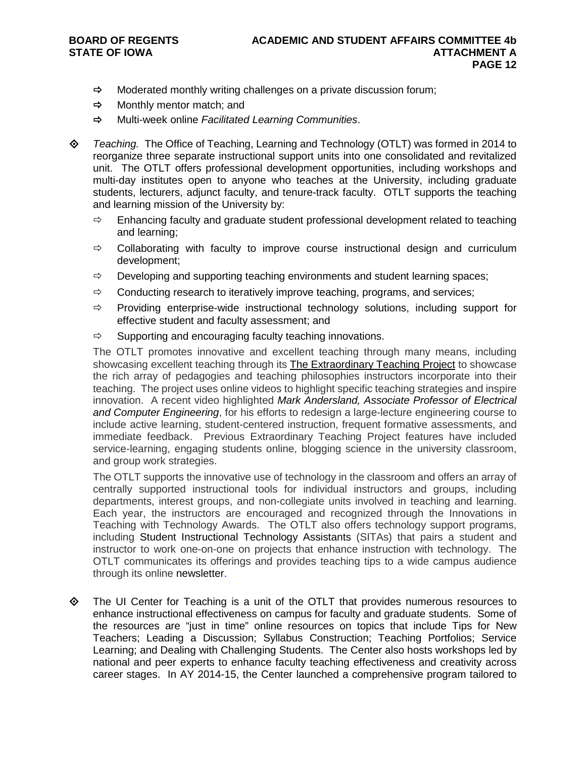- $\Rightarrow$  Moderated monthly writing challenges on a private discussion forum;
- $\Rightarrow$  Monthly mentor match; and
- Multi-week online *Facilitated Learning Communities*.
- *Teaching.* The Office of Teaching, Learning and Technology (OTLT) was formed in 2014 to reorganize three separate instructional support units into one consolidated and revitalized unit. The OTLT offers professional development opportunities, including workshops and multi-day institutes open to anyone who teaches at the University, including graduate students, lecturers, adjunct faculty, and tenure-track faculty. OTLT supports the teaching and learning mission of the University by:
	- $\Rightarrow$  Enhancing faculty and graduate student professional development related to teaching and learning;
	- $\Rightarrow$  Collaborating with faculty to improve course instructional design and curriculum development;
	- $\Rightarrow$  Developing and supporting teaching environments and student learning spaces;
	- $\Rightarrow$  Conducting research to iteratively improve teaching, programs, and services;
	- $\Rightarrow$  Providing enterprise-wide instructional technology solutions, including support for effective student and faculty assessment; and
	- $\Rightarrow$  Supporting and encouraging faculty teaching innovations.

The OTLT promotes innovative and excellent teaching through many means, including showcasing excellent teaching through its [The Extraordinary Teaching Project](http://teach.its.uiowa.edu/resources/extraordinary-teaching-project) to showcase the rich array of pedagogies and teaching philosophies instructors incorporate into their teaching. The project uses online videos to highlight specific teaching strategies and inspire innovation. A recent video highlighted *[Mark Andersland, Associate Professor of Electrical](http://teach.its.uiowa.edu/resources/extraordinary-teaching-project/developing-critical-thinking-through-peer-review)  [and Computer Engineering](http://teach.its.uiowa.edu/resources/extraordinary-teaching-project/developing-critical-thinking-through-peer-review)*, for his efforts to redesign a large-lecture engineering course to include active learning, student-centered instruction, frequent formative assessments, and immediate feedback. Previous Extraordinary Teaching Project features have included service-learning, engaging students online, blogging science in the university classroom, and group work strategies.

The OTLT supports the innovative use of technology in the classroom and offers an array of centrally supported instructional tools for individual instructors and groups, including departments, interest groups, and non-collegiate units involved in teaching and learning. Each year, the instructors are encouraged and recognized through the Innovations in Teaching with Technology Awards. The OTLT also offers technology support programs, including [Student Instructional Technology Assistants](http://teach.its.uiowa.edu/technology-tools/sita-student-instructional-technology-assistants) (SITAs) that pairs a student and instructor to work one-on-one on projects that enhance instruction with technology. The OTLT communicates its offerings and provides teaching tips to a wide campus audience through its online [newsletter.](http://teach.its.uiowa.edu/newsletter-archive)

 The UI Center for Teaching is a unit of the OTLT that provides numerous resources to enhance instructional effectiveness on campus for faculty and graduate students. Some of the resources are "just in time" online resources on topics that include Tips for New Teachers; Leading a Discussion; Syllabus Construction; Teaching Portfolios; Service Learning; and Dealing with Challenging Students. The Center also hosts workshops led by national and peer experts to enhance faculty teaching effectiveness and creativity across career stages. In AY 2014-15, the Center launched a comprehensive program tailored to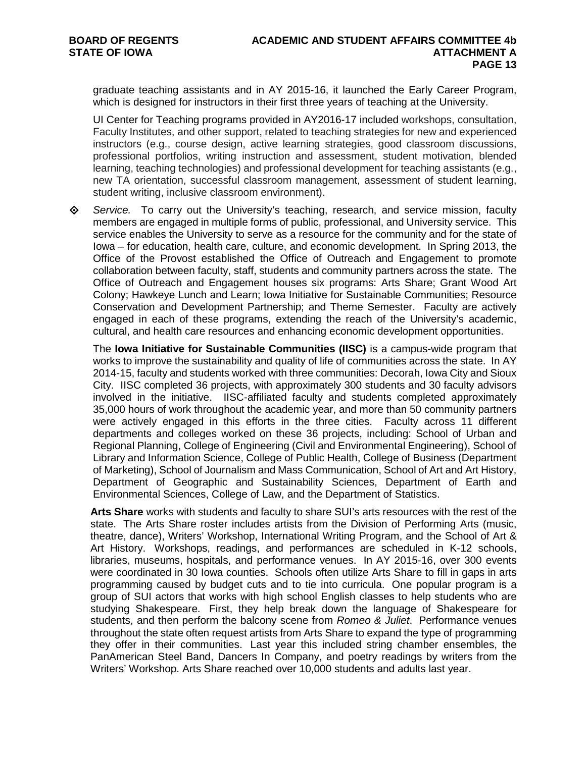graduate teaching assistants and in AY 2015-16, it launched the Early Career Program, which is designed for instructors in their first three years of teaching at the University.

UI Center for Teaching programs provided in AY2016-17 included workshops, consultation, Faculty Institutes, and other support, related to teaching strategies for new and experienced instructors (e.g., course design, active learning strategies, good classroom discussions, professional portfolios, writing instruction and assessment, student motivation, blended learning, teaching technologies) and professional development for teaching assistants (e.g., new TA orientation, successful classroom management, assessment of student learning, student writing, inclusive classroom environment).

 *Service.*To carry out the University's teaching, research, and service mission, faculty members are engaged in multiple forms of public, professional, and University service. This service enables the University to serve as a resource for the community and for the state of Iowa – for education, health care, culture, and economic development. In Spring 2013, the Office of the Provost established the Office of Outreach and Engagement to promote collaboration between faculty, staff, students and community partners across the state. The Office of Outreach and Engagement houses six programs: Arts Share; Grant Wood Art Colony; Hawkeye Lunch and Learn; Iowa Initiative for Sustainable Communities; Resource Conservation and Development Partnership; and Theme Semester. Faculty are actively engaged in each of these programs, extending the reach of the University's academic, cultural, and health care resources and enhancing economic development opportunities.

The **Iowa Initiative for Sustainable Communities (IISC)** is a campus-wide program that works to improve the sustainability and quality of life of communities across the state. In AY 2014-15, faculty and students worked with three communities: Decorah, Iowa City and Sioux City. IISC completed 36 projects, with approximately 300 students and 30 faculty advisors involved in the initiative. IISC-affiliated faculty and students completed approximately 35,000 hours of work throughout the academic year, and more than 50 community partners were actively engaged in this efforts in the three cities. Faculty across 11 different departments and colleges worked on these 36 projects, including: School of Urban and Regional Planning, College of Engineering (Civil and Environmental Engineering), School of Library and Information Science, College of Public Health, College of Business (Department of Marketing), School of Journalism and Mass Communication, School of Art and Art History, Department of Geographic and Sustainability Sciences, Department of Earth and Environmental Sciences, College of Law, and the Department of Statistics.

**Arts Share** works with students and faculty to share SUI's arts resources with the rest of the state. The Arts Share roster includes artists from the Division of Performing Arts (music, theatre, dance), Writers' Workshop, International Writing Program, and the School of Art & Art History. Workshops, readings, and performances are scheduled in K-12 schools, libraries, museums, hospitals, and performance venues. In AY 2015-16, over 300 events were coordinated in 30 Iowa counties. Schools often utilize Arts Share to fill in gaps in arts programming caused by budget cuts and to tie into curricula. One popular program is a group of SUI actors that works with high school English classes to help students who are studying Shakespeare. First, they help break down the language of Shakespeare for students, and then perform the balcony scene from *Romeo & Juliet*. Performance venues throughout the state often request artists from Arts Share to expand the type of programming they offer in their communities. Last year this included string chamber ensembles, the PanAmerican Steel Band, Dancers In Company, and poetry readings by writers from the Writers' Workshop. Arts Share reached over 10,000 students and adults last year.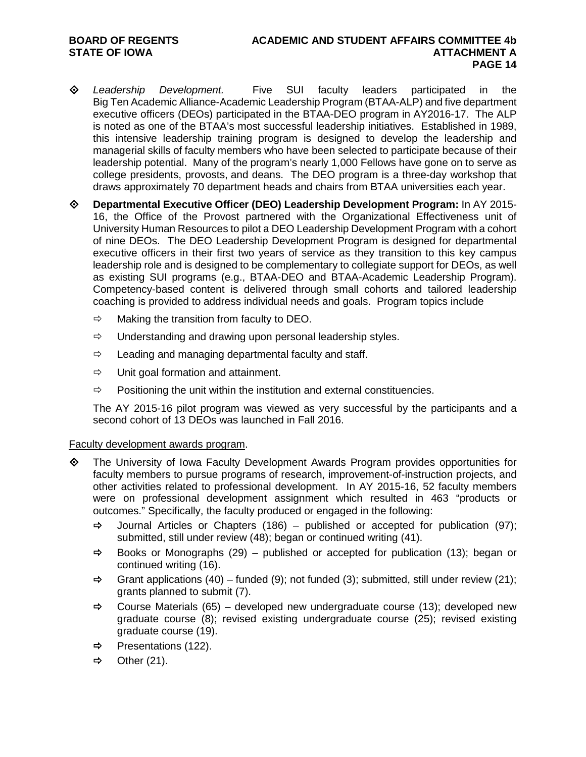- *Leadership Development.* Five SUI faculty leaders participated in the Big Ten Academic Alliance-Academic Leadership Program (BTAA-ALP) and five department executive officers (DEOs) participated in the BTAA-DEO program in AY2016-17. The ALP is noted as one of the BTAA's most successful leadership initiatives. Established in 1989, this intensive leadership training program is designed to develop the leadership and managerial skills of faculty members who have been selected to participate because of their leadership potential. Many of the program's nearly 1,000 Fellows have gone on to serve as college presidents, provosts, and deans. The DEO program is a three-day workshop that draws approximately 70 department heads and chairs from BTAA universities each year.
- **Departmental Executive Officer (DEO) Leadership Development Program:** In AY 2015- 16, the Office of the Provost partnered with the Organizational Effectiveness unit of University Human Resources to pilot [a DEO Leadership Development Program](http://provost.uiowa.edu/files/provost.uiowa.edu/files/DEO%20Leadership%20Program-Overview.pdf) with a cohort of nine DEOs. The DEO Leadership Development Program is designed for departmental executive officers in their first two years of service as they transition to this key campus leadership role and is designed to be complementary to collegiate support for DEOs, as well as existing SUI programs (e.g., BTAA-DEO and BTAA-Academic Leadership Program). Competency-based content is delivered through small cohorts and tailored leadership coaching is provided to address individual needs and goals. Program topics include
	- $\Rightarrow$  Making the transition from faculty to DEO.
	- $\Rightarrow$  Understanding and drawing upon personal leadership styles.
	- $\Rightarrow$  Leading and managing departmental faculty and staff.
	- $\Rightarrow$  Unit goal formation and attainment.
	- $\Rightarrow$  Positioning the unit within the institution and external constituencies.

The AY 2015-16 pilot program was viewed as very successful by the participants and a second cohort of 13 DEOs was launched in Fall 2016.

#### Faculty development awards program.

- The University of Iowa Faculty Development Awards Program provides opportunities for faculty members to pursue programs of research, improvement-of-instruction projects, and other activities related to professional development. In AY 2015-16, 52 faculty members were on professional development assignment which resulted in 463 "products or outcomes." Specifically, the faculty produced or engaged in the following:
	- $\Rightarrow$  Journal Articles or Chapters (186) published or accepted for publication (97); submitted, still under review (48); began or continued writing (41).
	- $\Rightarrow$  Books or Monographs (29) published or accepted for publication (13); began or continued writing (16).
	- $\Rightarrow$  Grant applications (40) funded (9); not funded (3); submitted, still under review (21); grants planned to submit (7).
	- $\Rightarrow$  Course Materials (65) developed new undergraduate course (13); developed new graduate course (8); revised existing undergraduate course (25); revised existing graduate course (19).
	- $\Rightarrow$  Presentations (122).
	- $\Rightarrow$  Other (21).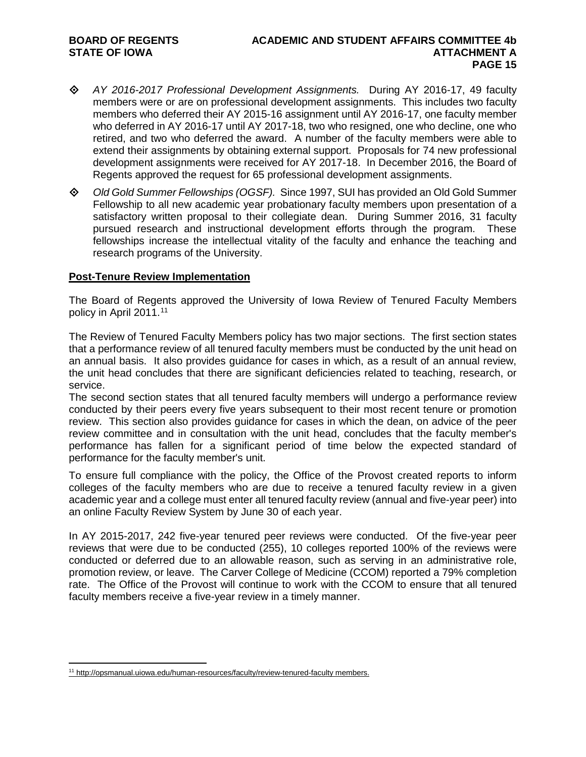- *AY 2016-2017 Professional Development Assignments.*During AY 2016-17, 49 faculty members were or are on professional development assignments. This includes two faculty members who deferred their AY 2015-16 assignment until AY 2016-17, one faculty member who deferred in AY 2016-17 until AY 2017-18, two who resigned, one who decline, one who retired, and two who deferred the award. A number of the faculty members were able to extend their assignments by obtaining external support. Proposals for 74 new professional development assignments were received for AY 2017-18. In December 2016, the Board of Regents approved the request for 65 professional development assignments.
- *Old Gold Summer Fellowships (OGSF).*Since 1997, SUI has provided an Old Gold Summer Fellowship to all new academic year probationary faculty members upon presentation of a satisfactory written proposal to their collegiate dean. During Summer 2016, 31 faculty pursued research and instructional development efforts through the program. These fellowships increase the intellectual vitality of the faculty and enhance the teaching and research programs of the University.

#### **Post-Tenure Review Implementation**

The Board of Regents approved the University of Iowa [Review of Tenured Faculty Members](http://www.uiowa.edu/%7Eour/opmanual/iii/10.htm#107) policy in April 20[11](#page-14-0).<sup>11</sup>

The Review of Tenured Faculty Members policy has two major sections. The first section states that a performance review of all tenured faculty members must be conducted by the unit head on an annual basis. It also provides guidance for cases in which, as a result of an annual review, the unit head concludes that there are significant deficiencies related to teaching, research, or service.

The second section states that all tenured faculty members will undergo a performance review conducted by their peers every five years subsequent to their most recent tenure or promotion review. This section also provides guidance for cases in which the dean, on advice of the peer review committee and in consultation with the unit head, concludes that the faculty member's performance has fallen for a significant period of time below the expected standard of performance for the faculty member's unit.

To ensure full compliance with the policy, the Office of the Provost created reports to inform colleges of the faculty members who are due to receive a tenured faculty review in a given academic year and a college must enter all tenured faculty review (annual and five-year peer) into an online Faculty Review System by June 30 of each year.

In AY 2015-2017, 242 five-year tenured peer reviews were conducted. Of the five-year peer reviews that were due to be conducted (255), 10 colleges reported 100% of the reviews were conducted or deferred due to an allowable reason, such as serving in an administrative role, promotion review, or leave. The Carver College of Medicine (CCOM) reported a 79% completion rate. The Office of the Provost will continue to work with the CCOM to ensure that all tenured faculty members receive a five-year review in a timely manner.

<span id="page-14-0"></span> <sup>11</sup> <http://opsmanual.uiowa.edu/human-resources/faculty/review-tenured-faculty> members.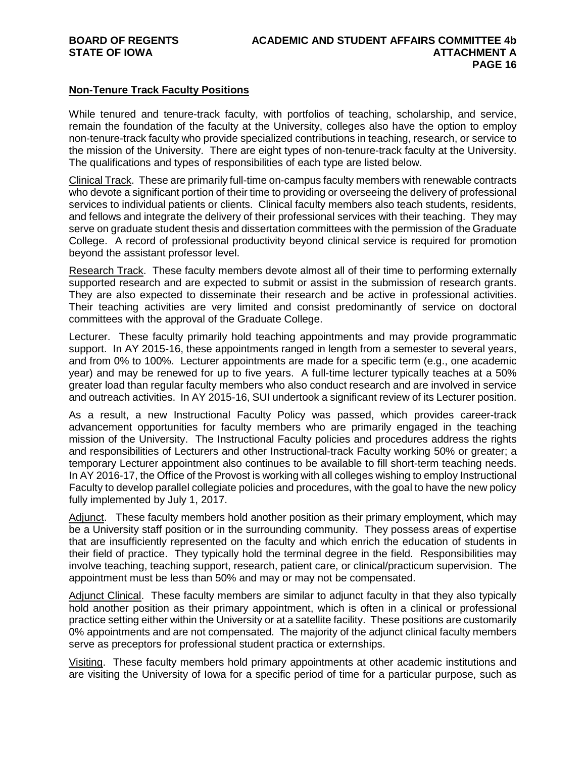# **Non-Tenure Track Faculty Positions**

While tenured and tenure-track faculty, with portfolios of teaching, scholarship, and service, remain the foundation of the faculty at the University, colleges also have the option to employ non-tenure-track faculty who provide specialized contributions in teaching, research, or service to the mission of the University. There are eight types of non-tenure-track faculty at the University. The qualifications and types of responsibilities of each type are listed below.

Clinical Track. These are primarily full-time on-campus faculty members with renewable contracts who devote a significant portion of their time to providing or overseeing the delivery of professional services to individual patients or clients. Clinical faculty members also teach students, residents, and fellows and integrate the delivery of their professional services with their teaching. They may serve on graduate student thesis and dissertation committees with the permission of the Graduate College. A record of professional productivity beyond clinical service is required for promotion beyond the assistant professor level.

Research Track. These faculty members devote almost all of their time to performing externally supported research and are expected to submit or assist in the submission of research grants. They are also expected to disseminate their research and be active in professional activities. Their teaching activities are very limited and consist predominantly of service on doctoral committees with the approval of the Graduate College.

Lecturer. These faculty primarily hold teaching appointments and may provide programmatic support. In AY 2015-16, these appointments ranged in length from a semester to several years, and from 0% to 100%. Lecturer appointments are made for a specific term (e.g., one academic year) and may be renewed for up to five years. A full-time lecturer typically teaches at a 50% greater load than regular faculty members who also conduct research and are involved in service and outreach activities. In AY 2015-16, SUI undertook a significant review of its Lecturer position.

As a result, a new Instructional Faculty Policy was passed, which provides career-track advancement opportunities for faculty members who are primarily engaged in the teaching mission of the University. The Instructional Faculty policies and procedures address the rights and responsibilities of Lecturers and other Instructional-track Faculty working 50% or greater; a temporary Lecturer appointment also continues to be available to fill short-term teaching needs. In AY 2016-17, the Office of the Provost is working with all colleges wishing to employ Instructional Faculty to develop parallel collegiate policies and procedures, with the goal to have the new policy fully implemented by July 1, 2017.

Adjunct. These faculty members hold another position as their primary employment, which may be a University staff position or in the surrounding community. They possess areas of expertise that are insufficiently represented on the faculty and which enrich the education of students in their field of practice. They typically hold the terminal degree in the field. Responsibilities may involve teaching, teaching support, research, patient care, or clinical/practicum supervision. The appointment must be less than 50% and may or may not be compensated.

Adjunct Clinical. These faculty members are similar to adjunct faculty in that they also typically hold another position as their primary appointment, which is often in a clinical or professional practice setting either within the University or at a satellite facility. These positions are customarily 0% appointments and are not compensated. The majority of the adjunct clinical faculty members serve as preceptors for professional student practica or externships.

Visiting. These faculty members hold primary appointments at other academic institutions and are visiting the University of Iowa for a specific period of time for a particular purpose, such as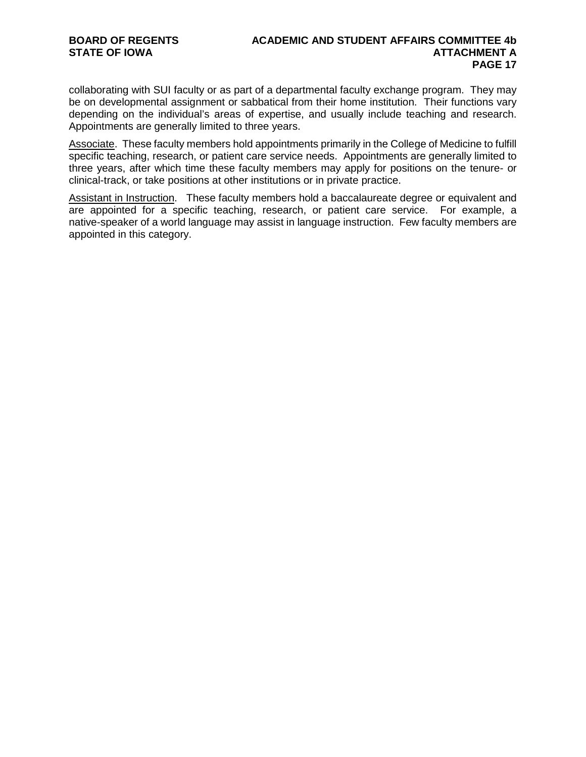collaborating with SUI faculty or as part of a departmental faculty exchange program. They may be on developmental assignment or sabbatical from their home institution. Their functions vary depending on the individual's areas of expertise, and usually include teaching and research. Appointments are generally limited to three years.

Associate. These faculty members hold appointments primarily in the College of Medicine to fulfill specific teaching, research, or patient care service needs. Appointments are generally limited to three years, after which time these faculty members may apply for positions on the tenure- or clinical-track, or take positions at other institutions or in private practice.

Assistant in Instruction. These faculty members hold a baccalaureate degree or equivalent and are appointed for a specific teaching, research, or patient care service. For example, a native-speaker of a world language may assist in language instruction. Few faculty members are appointed in this category.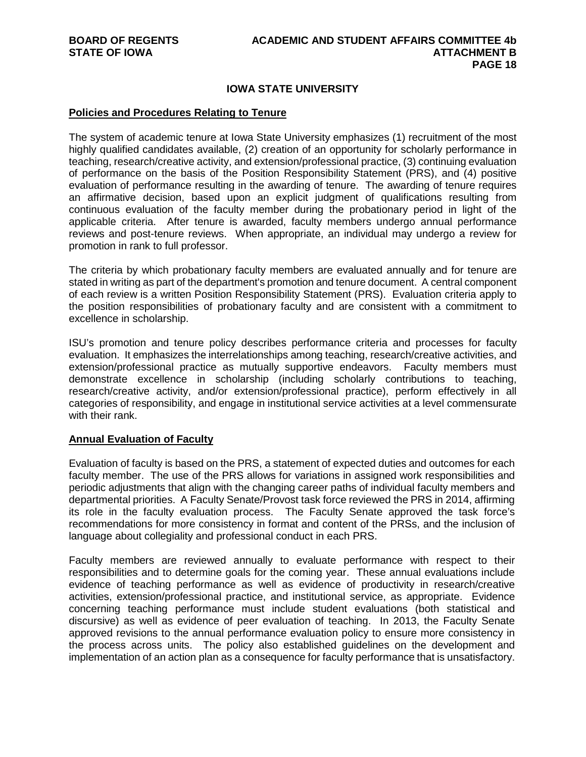# **IOWA STATE UNIVERSITY**

#### **Policies and Procedures Relating to Tenure**

The system of academic tenure at Iowa State University emphasizes (1) recruitment of the most highly qualified candidates available, (2) creation of an opportunity for scholarly performance in teaching, research/creative activity, and extension/professional practice, (3) continuing evaluation of performance on the basis of the Position Responsibility Statement (PRS), and (4) positive evaluation of performance resulting in the awarding of tenure. The awarding of tenure requires an affirmative decision, based upon an explicit judgment of qualifications resulting from continuous evaluation of the faculty member during the probationary period in light of the applicable criteria. After tenure is awarded, faculty members undergo annual performance reviews and post-tenure reviews. When appropriate, an individual may undergo a review for promotion in rank to full professor.

The criteria by which probationary faculty members are evaluated annually and for tenure are stated in writing as part of the department's promotion and tenure document. A central component of each review is a written Position Responsibility Statement (PRS). Evaluation criteria apply to the position responsibilities of probationary faculty and are consistent with a commitment to excellence in scholarship.

ISU's promotion and tenure policy describes performance criteria and processes for faculty evaluation. It emphasizes the interrelationships among teaching, research/creative activities, and extension/professional practice as mutually supportive endeavors. Faculty members must demonstrate excellence in scholarship (including scholarly contributions to teaching, research/creative activity, and/or extension/professional practice), perform effectively in all categories of responsibility, and engage in institutional service activities at a level commensurate with their rank.

#### **Annual Evaluation of Faculty**

Evaluation of faculty is based on the PRS, a statement of expected duties and outcomes for each faculty member. The use of the PRS allows for variations in assigned work responsibilities and periodic adjustments that align with the changing career paths of individual faculty members and departmental priorities. A Faculty Senate/Provost task force reviewed the PRS in 2014, affirming its role in the faculty evaluation process. The Faculty Senate approved the task force's recommendations for more consistency in format and content of the PRSs, and the inclusion of language about collegiality and professional conduct in each PRS.

Faculty members are reviewed annually to evaluate performance with respect to their responsibilities and to determine goals for the coming year. These annual evaluations include evidence of teaching performance as well as evidence of productivity in research/creative activities, extension/professional practice, and institutional service, as appropriate. Evidence concerning teaching performance must include student evaluations (both statistical and discursive) as well as evidence of peer evaluation of teaching. In 2013, the Faculty Senate approved revisions to the annual performance evaluation policy to ensure more consistency in the process across units. The policy also established guidelines on the development and implementation of an action plan as a consequence for faculty performance that is unsatisfactory.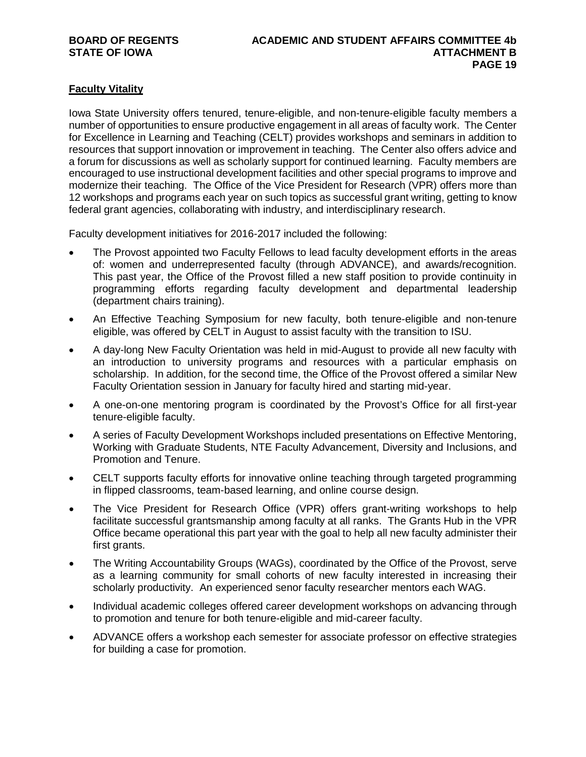# **Faculty Vitality**

Iowa State University offers tenured, tenure-eligible, and non-tenure-eligible faculty members a number of opportunities to ensure productive engagement in all areas of faculty work. The Center for Excellence in Learning and Teaching (CELT) provides workshops and seminars in addition to resources that support innovation or improvement in teaching. The Center also offers advice and a forum for discussions as well as scholarly support for continued learning. Faculty members are encouraged to use instructional development facilities and other special programs to improve and modernize their teaching. The Office of the Vice President for Research (VPR) offers more than 12 workshops and programs each year on such topics as successful grant writing, getting to know federal grant agencies, collaborating with industry, and interdisciplinary research.

Faculty development initiatives for 2016-2017 included the following:

- The Provost appointed two Faculty Fellows to lead faculty development efforts in the areas of: women and underrepresented faculty (through ADVANCE), and awards/recognition. This past year, the Office of the Provost filled a new staff position to provide continuity in programming efforts regarding faculty development and departmental leadership (department chairs training).
- An Effective Teaching Symposium for new faculty, both tenure-eligible and non-tenure eligible, was offered by CELT in August to assist faculty with the transition to ISU.
- A day-long New Faculty Orientation was held in mid-August to provide all new faculty with an introduction to university programs and resources with a particular emphasis on scholarship. In addition, for the second time, the Office of the Provost offered a similar New Faculty Orientation session in January for faculty hired and starting mid-year.
- A one-on-one mentoring program is coordinated by the Provost's Office for all first-year tenure-eligible faculty.
- A series of Faculty Development Workshops included presentations on Effective Mentoring, Working with Graduate Students, NTE Faculty Advancement, Diversity and Inclusions, and Promotion and Tenure.
- CELT supports faculty efforts for innovative online teaching through targeted programming in flipped classrooms, team-based learning, and online course design.
- The Vice President for Research Office (VPR) offers grant-writing workshops to help facilitate successful grantsmanship among faculty at all ranks. The Grants Hub in the VPR Office became operational this part year with the goal to help all new faculty administer their first grants.
- The Writing Accountability Groups (WAGs), coordinated by the Office of the Provost, serve as a learning community for small cohorts of new faculty interested in increasing their scholarly productivity. An experienced senor faculty researcher mentors each WAG.
- Individual academic colleges offered career development workshops on advancing through to promotion and tenure for both tenure-eligible and mid-career faculty.
- ADVANCE offers a workshop each semester for associate professor on effective strategies for building a case for promotion.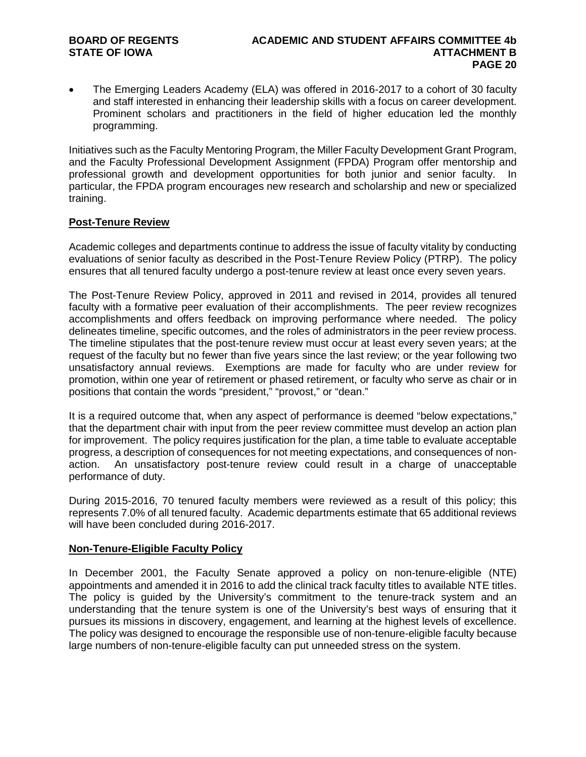• The Emerging Leaders Academy (ELA) was offered in 2016-2017 to a cohort of 30 faculty and staff interested in enhancing their leadership skills with a focus on career development. Prominent scholars and practitioners in the field of higher education led the monthly programming.

Initiatives such as the Faculty Mentoring Program, the Miller Faculty Development Grant Program, and the Faculty Professional Development Assignment (FPDA) Program offer mentorship and professional growth and development opportunities for both junior and senior faculty. In particular, the FPDA program encourages new research and scholarship and new or specialized training.

### **Post-Tenure Review**

Academic colleges and departments continue to address the issue of faculty vitality by conducting evaluations of senior faculty as described in the Post-Tenure Review Policy (PTRP). The policy ensures that all tenured faculty undergo a post-tenure review at least once every seven years.

The Post-Tenure Review Policy, approved in 2011 and revised in 2014, provides all tenured faculty with a formative peer evaluation of their accomplishments. The peer review recognizes accomplishments and offers feedback on improving performance where needed. The policy delineates timeline, specific outcomes, and the roles of administrators in the peer review process. The timeline stipulates that the post-tenure review must occur at least every seven years; at the request of the faculty but no fewer than five years since the last review; or the year following two unsatisfactory annual reviews. Exemptions are made for faculty who are under review for promotion, within one year of retirement or phased retirement, or faculty who serve as chair or in positions that contain the words "president," "provost," or "dean."

It is a required outcome that, when any aspect of performance is deemed "below expectations," that the department chair with input from the peer review committee must develop an action plan for improvement. The policy requires justification for the plan, a time table to evaluate acceptable progress, a description of consequences for not meeting expectations, and consequences of nonaction. An unsatisfactory post-tenure review could result in a charge of unacceptable performance of duty.

During 2015-2016, 70 tenured faculty members were reviewed as a result of this policy; this represents 7.0% of all tenured faculty. Academic departments estimate that 65 additional reviews will have been concluded during 2016-2017.

# **Non-Tenure-Eligible Faculty Policy**

In December 2001, the Faculty Senate approved a policy on non-tenure-eligible (NTE) appointments and amended it in 2016 to add the clinical track faculty titles to available NTE titles. The policy is guided by the University's commitment to the tenure-track system and an understanding that the tenure system is one of the University's best ways of ensuring that it pursues its missions in discovery, engagement, and learning at the highest levels of excellence. The policy was designed to encourage the responsible use of non-tenure-eligible faculty because large numbers of non-tenure-eligible faculty can put unneeded stress on the system.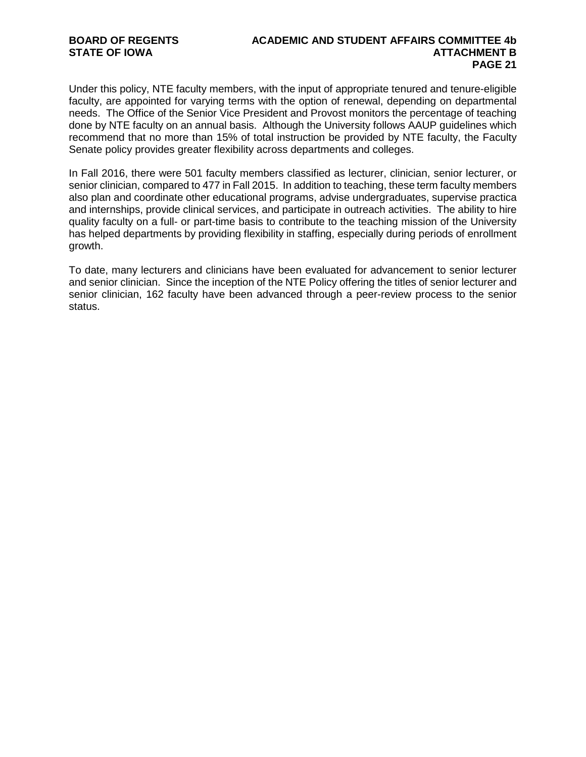Under this policy, NTE faculty members, with the input of appropriate tenured and tenure-eligible faculty, are appointed for varying terms with the option of renewal, depending on departmental needs. The Office of the Senior Vice President and Provost monitors the percentage of teaching done by NTE faculty on an annual basis. Although the University follows AAUP guidelines which recommend that no more than 15% of total instruction be provided by NTE faculty, the Faculty Senate policy provides greater flexibility across departments and colleges.

In Fall 2016, there were 501 faculty members classified as lecturer, clinician, senior lecturer, or senior clinician, compared to 477 in Fall 2015. In addition to teaching, these term faculty members also plan and coordinate other educational programs, advise undergraduates, supervise practica and internships, provide clinical services, and participate in outreach activities. The ability to hire quality faculty on a full- or part-time basis to contribute to the teaching mission of the University has helped departments by providing flexibility in staffing, especially during periods of enrollment growth.

To date, many lecturers and clinicians have been evaluated for advancement to senior lecturer and senior clinician. Since the inception of the NTE Policy offering the titles of senior lecturer and senior clinician, 162 faculty have been advanced through a peer-review process to the senior status.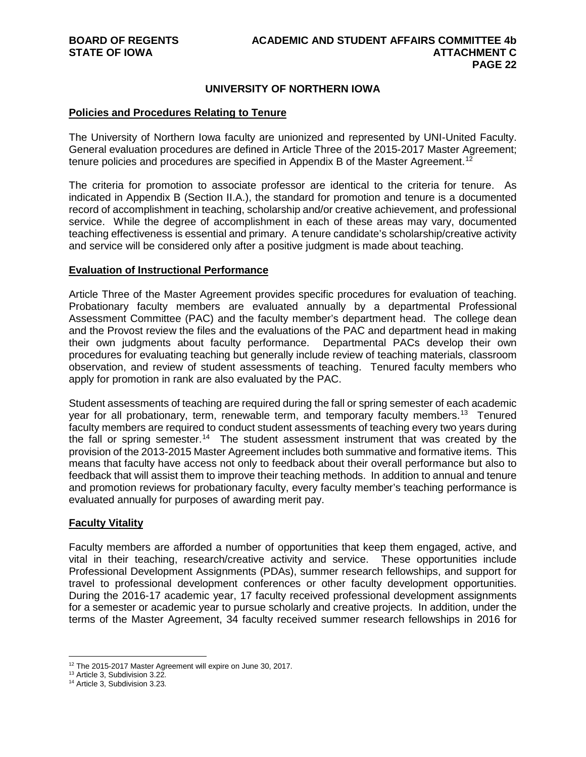#### **UNIVERSITY OF NORTHERN IOWA**

#### **Policies and Procedures Relating to Tenure**

The University of Northern Iowa faculty are unionized and represented by UNI-United Faculty. General evaluation procedures are defined in Article Three of the 2015-2017 Master Agreement; tenure policies and procedures are specified in Appendix B of the Master Agreement.<sup>[12](#page-21-0)</sup>

The criteria for promotion to associate professor are identical to the criteria for tenure. As indicated in Appendix B (Section II.A.), the standard for promotion and tenure is a documented record of accomplishment in teaching, scholarship and/or creative achievement, and professional service. While the degree of accomplishment in each of these areas may vary, documented teaching effectiveness is essential and primary. A tenure candidate's scholarship/creative activity and service will be considered only after a positive judgment is made about teaching.

#### **Evaluation of Instructional Performance**

Article Three of the Master Agreement provides specific procedures for evaluation of teaching. Probationary faculty members are evaluated annually by a departmental Professional Assessment Committee (PAC) and the faculty member's department head. The college dean and the Provost review the files and the evaluations of the PAC and department head in making their own judgments about faculty performance. Departmental PACs develop their own procedures for evaluating teaching but generally include review of teaching materials, classroom observation, and review of student assessments of teaching. Tenured faculty members who apply for promotion in rank are also evaluated by the PAC.

Student assessments of teaching are required during the fall or spring semester of each academic year for all probationary, term, renewable term, and temporary faculty members.<sup>[13](#page-21-1)</sup> Tenured faculty members are required to conduct student assessments of teaching every two years during the fall or spring semester.<sup>[14](#page-21-2)</sup> The student assessment instrument that was created by the provision of the 2013-2015 Master Agreement includes both summative and formative items. This means that faculty have access not only to feedback about their overall performance but also to feedback that will assist them to improve their teaching methods. In addition to annual and tenure and promotion reviews for probationary faculty, every faculty member's teaching performance is evaluated annually for purposes of awarding merit pay.

#### **Faculty Vitality**

Faculty members are afforded a number of opportunities that keep them engaged, active, and vital in their teaching, research/creative activity and service. These opportunities include Professional Development Assignments (PDAs), summer research fellowships, and support for travel to professional development conferences or other faculty development opportunities. During the 2016-17 academic year, 17 faculty received professional development assignments for a semester or academic year to pursue scholarly and creative projects. In addition, under the terms of the Master Agreement, 34 faculty received summer research fellowships in 2016 for

<span id="page-21-0"></span><sup>&</sup>lt;sup>12</sup> The 2015-2017 Master Agreement will expire on June 30, 2017.

<sup>13</sup> Article 3, Subdivision 3.22.

<span id="page-21-2"></span><span id="page-21-1"></span><sup>14</sup> Article 3, Subdivision 3.23.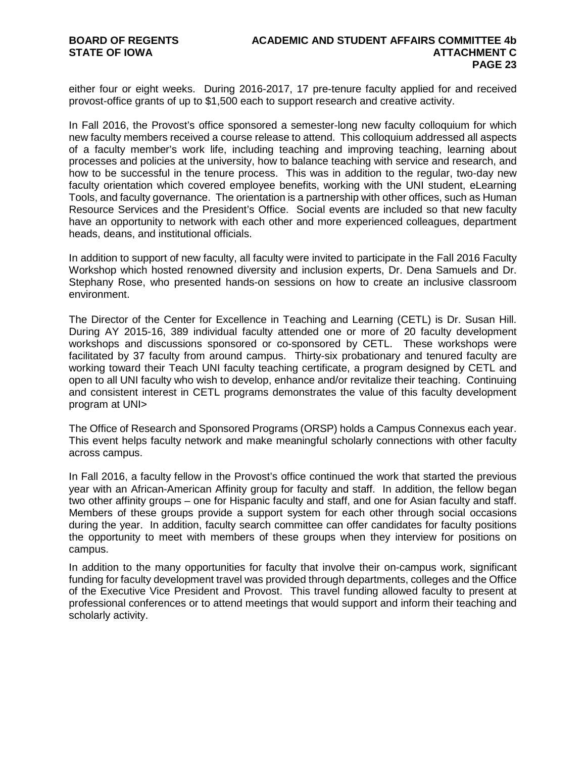either four or eight weeks. During 2016-2017, 17 pre-tenure faculty applied for and received provost-office grants of up to \$1,500 each to support research and creative activity.

In Fall 2016, the Provost's office sponsored a semester-long new faculty colloquium for which new faculty members received a course release to attend. This colloquium addressed all aspects of a faculty member's work life, including teaching and improving teaching, learning about processes and policies at the university, how to balance teaching with service and research, and how to be successful in the tenure process. This was in addition to the regular, two-day new faculty orientation which covered employee benefits, working with the UNI student, eLearning Tools, and faculty governance. The orientation is a partnership with other offices, such as Human Resource Services and the President's Office. Social events are included so that new faculty have an opportunity to network with each other and more experienced colleagues, department heads, deans, and institutional officials.

In addition to support of new faculty, all faculty were invited to participate in the Fall 2016 Faculty Workshop which hosted renowned diversity and inclusion experts, Dr. Dena Samuels and Dr. Stephany Rose, who presented hands-on sessions on how to create an inclusive classroom environment.

The Director of the Center for Excellence in Teaching and Learning (CETL) is Dr. Susan Hill. During AY 2015-16, 389 individual faculty attended one or more of 20 faculty development workshops and discussions sponsored or co-sponsored by CETL. These workshops were facilitated by 37 faculty from around campus. Thirty-six probationary and tenured faculty are working toward their Teach UNI faculty teaching certificate, a program designed by CETL and open to all UNI faculty who wish to develop, enhance and/or revitalize their teaching. Continuing and consistent interest in CETL programs demonstrates the value of this faculty development program at UNI>

The Office of Research and Sponsored Programs (ORSP) holds a Campus Connexus each year. This event helps faculty network and make meaningful scholarly connections with other faculty across campus.

In Fall 2016, a faculty fellow in the Provost's office continued the work that started the previous year with an African-American Affinity group for faculty and staff. In addition, the fellow began two other affinity groups – one for Hispanic faculty and staff, and one for Asian faculty and staff. Members of these groups provide a support system for each other through social occasions during the year. In addition, faculty search committee can offer candidates for faculty positions the opportunity to meet with members of these groups when they interview for positions on campus.

In addition to the many opportunities for faculty that involve their on-campus work, significant funding for faculty development travel was provided through departments, colleges and the Office of the Executive Vice President and Provost. This travel funding allowed faculty to present at professional conferences or to attend meetings that would support and inform their teaching and scholarly activity.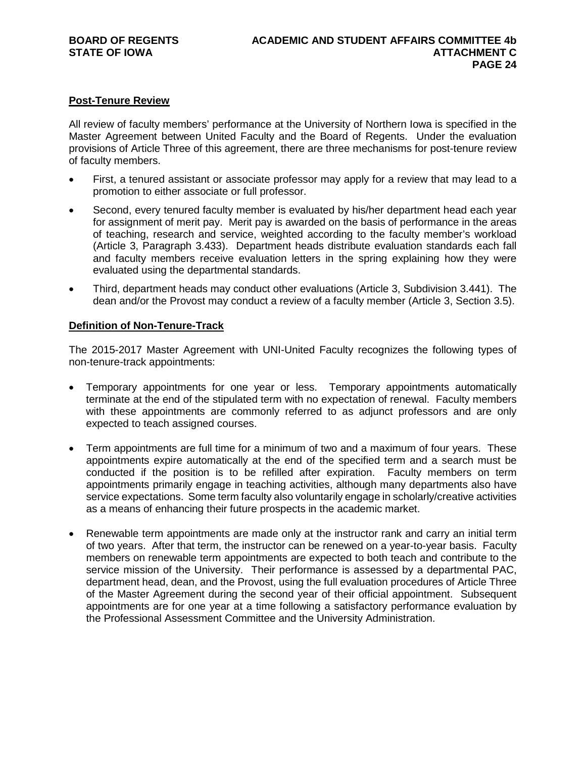# **Post-Tenure Review**

All review of faculty members' performance at the University of Northern Iowa is specified in the Master Agreement between United Faculty and the Board of Regents. Under the evaluation provisions of Article Three of this agreement, there are three mechanisms for post-tenure review of faculty members.

- First, a tenured assistant or associate professor may apply for a review that may lead to a promotion to either associate or full professor.
- Second, every tenured faculty member is evaluated by his/her department head each year for assignment of merit pay. Merit pay is awarded on the basis of performance in the areas of teaching, research and service, weighted according to the faculty member's workload (Article 3, Paragraph 3.433). Department heads distribute evaluation standards each fall and faculty members receive evaluation letters in the spring explaining how they were evaluated using the departmental standards.
- Third, department heads may conduct other evaluations (Article 3, Subdivision 3.441). The dean and/or the Provost may conduct a review of a faculty member (Article 3, Section 3.5).

#### **Definition of Non-Tenure-Track**

The 2015-2017 Master Agreement with UNI-United Faculty recognizes the following types of non-tenure-track appointments:

- Temporary appointments for one year or less. Temporary appointments automatically terminate at the end of the stipulated term with no expectation of renewal. Faculty members with these appointments are commonly referred to as adjunct professors and are only expected to teach assigned courses.
- Term appointments are full time for a minimum of two and a maximum of four years. These appointments expire automatically at the end of the specified term and a search must be conducted if the position is to be refilled after expiration. Faculty members on term appointments primarily engage in teaching activities, although many departments also have service expectations. Some term faculty also voluntarily engage in scholarly/creative activities as a means of enhancing their future prospects in the academic market.
- Renewable term appointments are made only at the instructor rank and carry an initial term of two years. After that term, the instructor can be renewed on a year-to-year basis. Faculty members on renewable term appointments are expected to both teach and contribute to the service mission of the University. Their performance is assessed by a departmental PAC, department head, dean, and the Provost, using the full evaluation procedures of Article Three of the Master Agreement during the second year of their official appointment. Subsequent appointments are for one year at a time following a satisfactory performance evaluation by the Professional Assessment Committee and the University Administration.